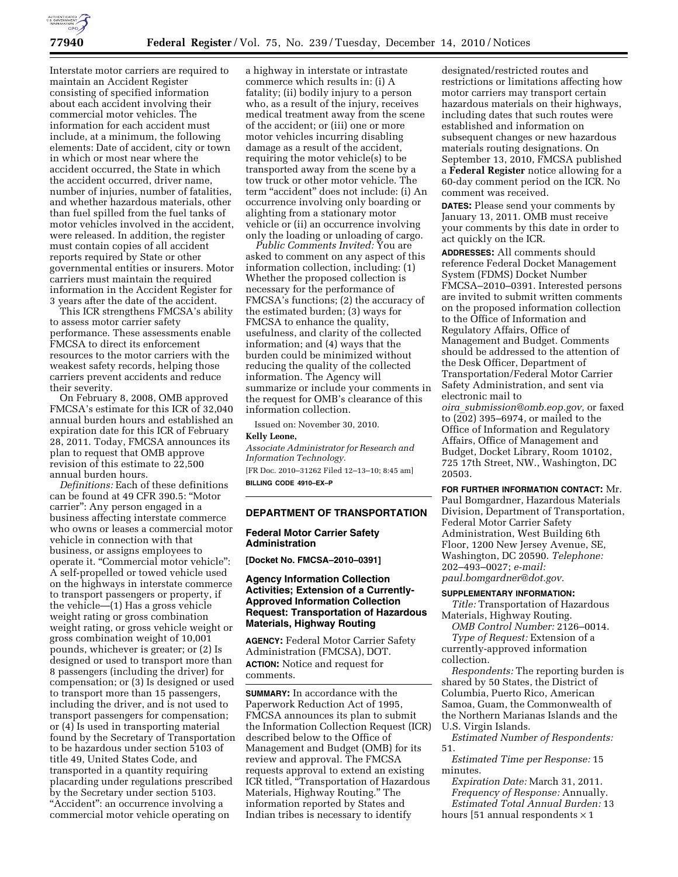

Interstate motor carriers are required to maintain an Accident Register consisting of specified information about each accident involving their commercial motor vehicles. The information for each accident must include, at a minimum, the following elements: Date of accident, city or town in which or most near where the accident occurred, the State in which the accident occurred, driver name, number of injuries, number of fatalities, and whether hazardous materials, other than fuel spilled from the fuel tanks of motor vehicles involved in the accident, were released. In addition, the register must contain copies of all accident reports required by State or other governmental entities or insurers. Motor carriers must maintain the required information in the Accident Register for 3 years after the date of the accident.

This ICR strengthens FMCSA's ability to assess motor carrier safety performance. These assessments enable FMCSA to direct its enforcement resources to the motor carriers with the weakest safety records, helping those carriers prevent accidents and reduce their severity.

On February 8, 2008, OMB approved FMCSA's estimate for this ICR of 32,040 annual burden hours and established an expiration date for this ICR of February 28, 2011. Today, FMCSA announces its plan to request that OMB approve revision of this estimate to 22,500 annual burden hours.

*Definitions:* Each of these definitions can be found at 49 CFR 390.5: ''Motor carrier'': Any person engaged in a business affecting interstate commerce who owns or leases a commercial motor vehicle in connection with that business, or assigns employees to operate it. ''Commercial motor vehicle'': A self-propelled or towed vehicle used on the highways in interstate commerce to transport passengers or property, if the vehicle—(1) Has a gross vehicle weight rating or gross combination weight rating, or gross vehicle weight or gross combination weight of 10,001 pounds, whichever is greater; or (2) Is designed or used to transport more than 8 passengers (including the driver) for compensation; or (3) Is designed or used to transport more than 15 passengers, including the driver, and is not used to transport passengers for compensation; or (4) Is used in transporting material found by the Secretary of Transportation to be hazardous under section 5103 of title 49, United States Code, and transported in a quantity requiring placarding under regulations prescribed by the Secretary under section 5103. "Accident": an occurrence involving a commercial motor vehicle operating on

a highway in interstate or intrastate commerce which results in: (i) A fatality; (ii) bodily injury to a person who, as a result of the injury, receives medical treatment away from the scene of the accident; or (iii) one or more motor vehicles incurring disabling damage as a result of the accident, requiring the motor vehicle(s) to be transported away from the scene by a tow truck or other motor vehicle. The term "accident" does not include: (i) An occurrence involving only boarding or alighting from a stationary motor vehicle or (ii) an occurrence involving only the loading or unloading of cargo.

*Public Comments Invited:* You are asked to comment on any aspect of this information collection, including: (1) Whether the proposed collection is necessary for the performance of FMCSA's functions; (2) the accuracy of the estimated burden; (3) ways for FMCSA to enhance the quality, usefulness, and clarity of the collected information; and (4) ways that the burden could be minimized without reducing the quality of the collected information. The Agency will summarize or include your comments in the request for OMB's clearance of this information collection.

Issued on: November 30, 2010. **Kelly Leone,**  *Associate Administrator for Research and* 

*Information Technology.*  [FR Doc. 2010–31262 Filed 12–13–10; 8:45 am] **BILLING CODE 4910–EX–P** 

# **DEPARTMENT OF TRANSPORTATION**

#### **Federal Motor Carrier Safety Administration**

**[Docket No. FMCSA–2010–0391]** 

# **Agency Information Collection Activities; Extension of a Currently-Approved Information Collection Request: Transportation of Hazardous Materials, Highway Routing**

**AGENCY:** Federal Motor Carrier Safety Administration (FMCSA), DOT. **ACTION:** Notice and request for comments.

**SUMMARY:** In accordance with the Paperwork Reduction Act of 1995, FMCSA announces its plan to submit the Information Collection Request (ICR) described below to the Office of Management and Budget (OMB) for its review and approval. The FMCSA requests approval to extend an existing ICR titled, ''Transportation of Hazardous Materials, Highway Routing.'' The information reported by States and Indian tribes is necessary to identify

designated/restricted routes and restrictions or limitations affecting how motor carriers may transport certain hazardous materials on their highways, including dates that such routes were established and information on subsequent changes or new hazardous materials routing designations. On September 13, 2010, FMCSA published a **Federal Register** notice allowing for a 60-day comment period on the ICR. No comment was received.

**DATES:** Please send your comments by January 13, 2011. OMB must receive your comments by this date in order to act quickly on the ICR.

**ADDRESSES:** All comments should reference Federal Docket Management System (FDMS) Docket Number FMCSA–2010–0391. Interested persons are invited to submit written comments on the proposed information collection to the Office of Information and Regulatory Affairs, Office of Management and Budget. Comments should be addressed to the attention of the Desk Officer, Department of Transportation/Federal Motor Carrier Safety Administration, and sent via electronic mail to *oira*\_*[submission@omb.eop.gov,](mailto:oira_submission@omb.eop.gov)* or faxed to (202) 395–6974, or mailed to the Office of Information and Regulatory Affairs, Office of Management and Budget, Docket Library, Room 10102, 725 17th Street, NW., Washington, DC 20503.

**FOR FURTHER INFORMATION CONTACT:** Mr. Paul Bomgardner, Hazardous Materials Division, Department of Transportation, Federal Motor Carrier Safety Administration, West Building 6th Floor, 1200 New Jersey Avenue, SE, Washington, DC 20590. *Telephone:*  202–493–0027; *e-mail: [paul.bomgardner@dot.gov.](mailto:paul.bomgardner@dot.gov)* 

#### **SUPPLEMENTARY INFORMATION:**

*Title:* Transportation of Hazardous Materials, Highway Routing.

*OMB Control Number:* 2126–0014. *Type of Request:* Extension of a currently-approved information

collection.

*Respondents:* The reporting burden is shared by 50 States, the District of Columbia, Puerto Rico, American Samoa, Guam, the Commonwealth of the Northern Marianas Islands and the U.S. Virgin Islands.

*Estimated Number of Respondents:*  51.

*Estimated Time per Response:* 15 minutes.

*Expiration Date:* March 31, 2011. *Frequency of Response:* Annually. *Estimated Total Annual Burden:* 13 hours [51 annual respondents  $\times$  1